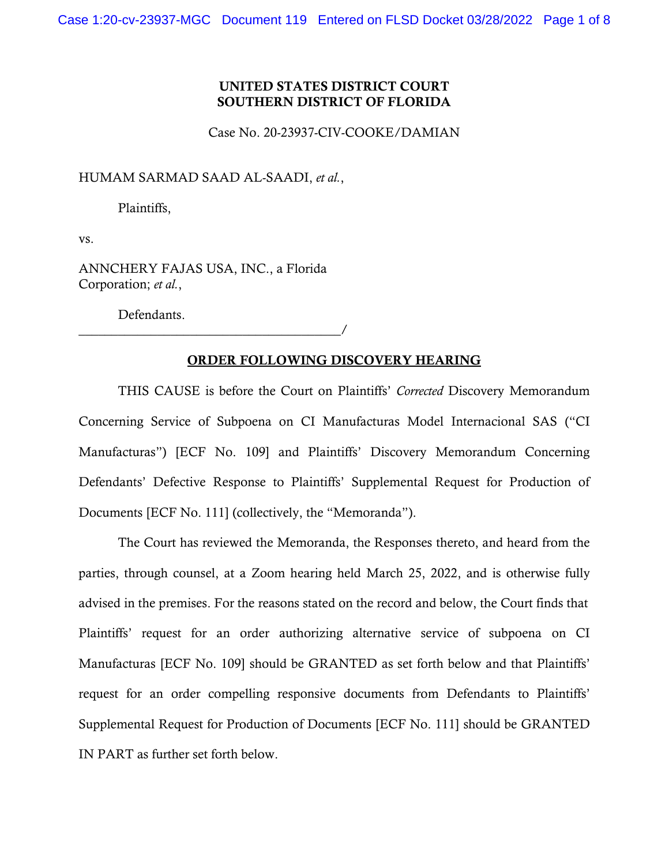## UNITED STATES DISTRICT COURT SOUTHERN DISTRICT OF FLORIDA

Case No. 20-23937-CIV-COOKE/DAMIAN

HUMAM SARMAD SAAD AL-SAADI, *et al.*,

Plaintiffs,

vs.

ANNCHERY FAJAS USA, INC., a Florida Corporation; *et al.*,

Defendants.

\_\_\_\_\_\_\_\_\_\_\_\_\_\_\_\_\_\_\_\_\_\_\_\_\_\_\_\_\_\_\_\_\_\_\_\_\_\_\_\_/

### ORDER FOLLOWING DISCOVERY HEARING

THIS CAUSE is before the Court on Plaintiffs' *Corrected* Discovery Memorandum Concerning Service of Subpoena on CI Manufacturas Model Internacional SAS ("CI Manufacturas") [ECF No. 109] and Plaintiffs' Discovery Memorandum Concerning Defendants' Defective Response to Plaintiffs' Supplemental Request for Production of Documents [ECF No. 111] (collectively, the "Memoranda").

The Court has reviewed the Memoranda, the Responses thereto, and heard from the parties, through counsel, at a Zoom hearing held March 25, 2022, and is otherwise fully advised in the premises. For the reasons stated on the record and below, the Court finds that Plaintiffs' request for an order authorizing alternative service of subpoena on CI Manufacturas [ECF No. 109] should be GRANTED as set forth below and that Plaintiffs' request for an order compelling responsive documents from Defendants to Plaintiffs' Supplemental Request for Production of Documents [ECF No. 111] should be GRANTED IN PART as further set forth below.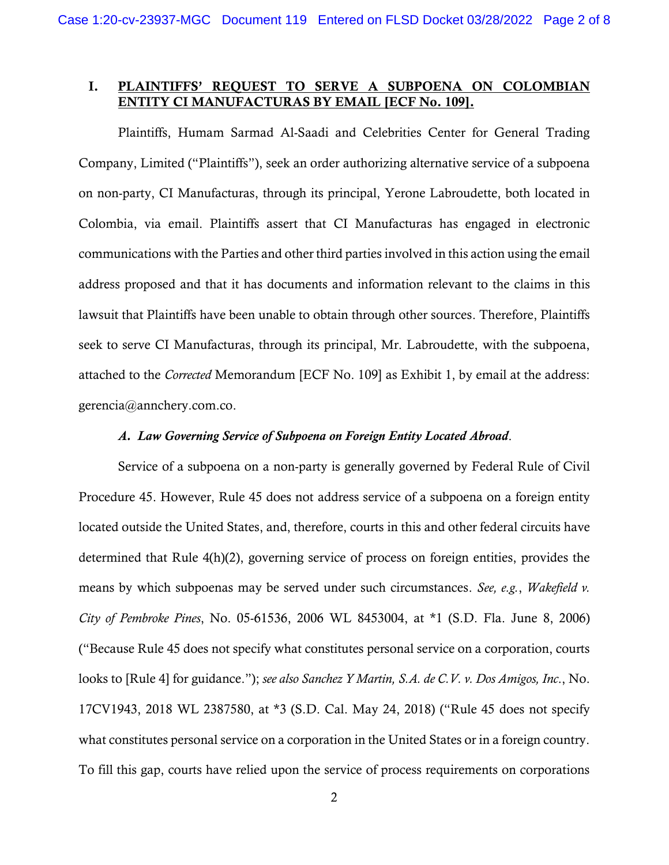# I. PLAINTIFFS' REQUEST TO SERVE A SUBPOENA ON COLOMBIAN ENTITY CI MANUFACTURAS BY EMAIL [ECF No. 109].

Plaintiffs, Humam Sarmad Al-Saadi and Celebrities Center for General Trading Company, Limited ("Plaintiffs"), seek an order authorizing alternative service of a subpoena on non-party, CI Manufacturas, through its principal, Yerone Labroudette, both located in Colombia, via email. Plaintiffs assert that CI Manufacturas has engaged in electronic communications with the Parties and other third parties involved in this action using the email address proposed and that it has documents and information relevant to the claims in this lawsuit that Plaintiffs have been unable to obtain through other sources. Therefore, Plaintiffs seek to serve CI Manufacturas, through its principal, Mr. Labroudette, with the subpoena, attached to the *Corrected* Memorandum [ECF No. 109] as Exhibit 1, by email at the address: gerencia@annchery.com.co.

#### *A. Law Governing Service of Subpoena on Foreign Entity Located Abroad*.

Service of a subpoena on a non-party is generally governed by Federal Rule of Civil Procedure 45. However, Rule 45 does not address service of a subpoena on a foreign entity located outside the United States, and, therefore, courts in this and other federal circuits have determined that Rule 4(h)(2), governing service of process on foreign entities, provides the means by which subpoenas may be served under such circumstances. *See, e.g.*, *Wakefield v. City of Pembroke Pines*, No. 05-61536, 2006 WL 8453004, at \*1 (S.D. Fla. June 8, 2006) ("Because Rule 45 does not specify what constitutes personal service on a corporation, courts looks to [Rule 4] for guidance."); *see also Sanchez Y Martin, S.A. de C.V. v. Dos Amigos, Inc*., No. 17CV1943, 2018 WL 2387580, at \*3 (S.D. Cal. May 24, 2018) ("Rule 45 does not specify what constitutes personal service on a corporation in the United States or in a foreign country. To fill this gap, courts have relied upon the service of process requirements on corporations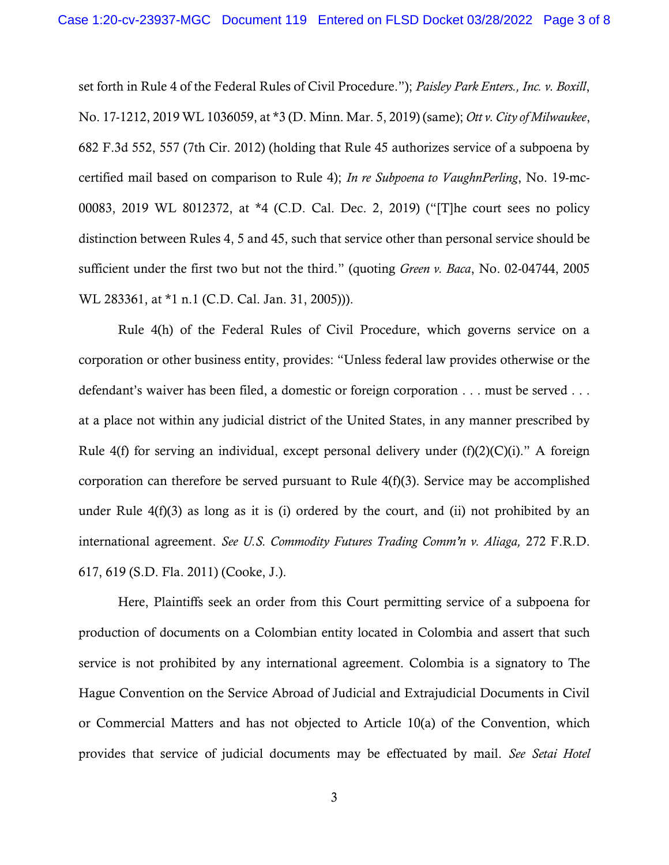set forth in Rule 4 of the Federal Rules of Civil Procedure."); *Paisley Park Enters., Inc. v. Boxill*, No. 17-1212, 2019 WL 1036059, at \*3 (D. Minn. Mar. 5, 2019) (same); *Ott v. City of Milwaukee*, 682 F.3d 552, 557 (7th Cir. 2012) (holding that Rule 45 authorizes service of a subpoena by certified mail based on comparison to Rule 4); *In re Subpoena to VaughnPerling*, No. 19-mc-00083, 2019 WL 8012372, at \*4 (C.D. Cal. Dec. 2, 2019) ("[T]he court sees no policy distinction between Rules 4, 5 and 45, such that service other than personal service should be sufficient under the first two but not the third." (quoting *Green v. Baca*, No. 02-04744, 2005 WL 283361, at \*1 n.1 (C.D. Cal. Jan. 31, 2005))).

Rule 4(h) of the Federal Rules of Civil Procedure, which governs service on a corporation or other business entity, provides: "Unless federal law provides otherwise or the defendant's waiver has been filed, a domestic or foreign corporation . . . must be served . . . at a place not within any judicial district of the United States, in any manner prescribed by Rule 4(f) for serving an individual, except personal delivery under  $(f)(2)(C)(i)$ ." A foreign corporation can therefore be served pursuant to Rule 4(f)(3). Service may be accomplished under Rule 4(f)(3) as long as it is (i) ordered by the court, and (ii) not prohibited by an international agreement. *See U.S. Commodity Futures Trading Comm'n v. Aliaga,* 272 F.R.D. 617, 619 (S.D. Fla. 2011) (Cooke, J.).

Here, Plaintiffs seek an order from this Court permitting service of a subpoena for production of documents on a Colombian entity located in Colombia and assert that such service is not prohibited by any international agreement. Colombia is a signatory to The Hague Convention on the Service Abroad of Judicial and Extrajudicial Documents in Civil or Commercial Matters and has not objected to Article 10(a) of the Convention, which provides that service of judicial documents may be effectuated by mail. *See Setai Hotel*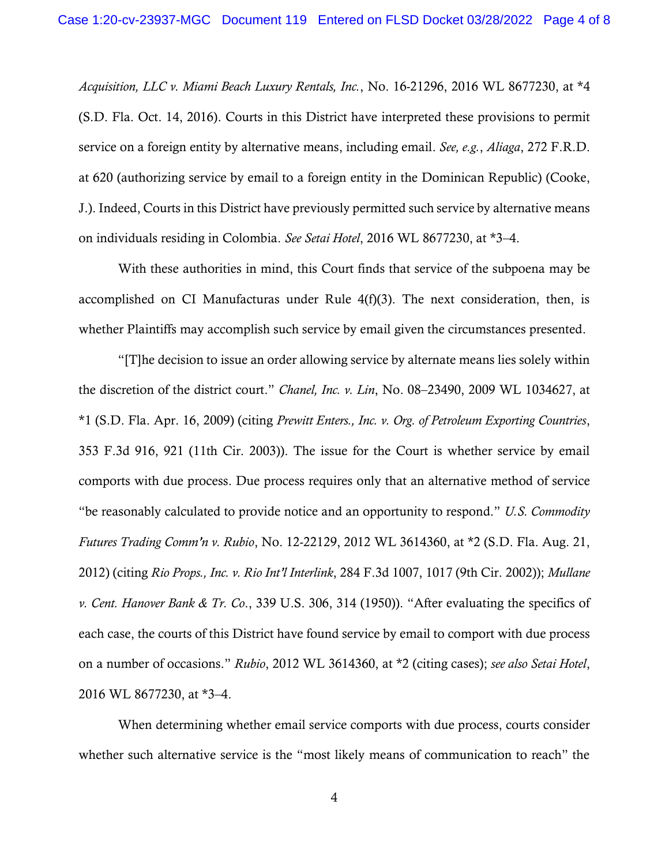*Acquisition, LLC v. Miami Beach Luxury Rentals, Inc.*, No. 16-21296, 2016 WL 8677230, at \*4 (S.D. Fla. Oct. 14, 2016). Courts in this District have interpreted these provisions to permit service on a foreign entity by alternative means, including email. *See, e.g.*, *Aliaga*, 272 F.R.D. at 620 (authorizing service by email to a foreign entity in the Dominican Republic) (Cooke, J.). Indeed, Courts in this District have previously permitted such service by alternative means on individuals residing in Colombia. *See Setai Hotel*, 2016 WL 8677230, at \*3–4.

With these authorities in mind, this Court finds that service of the subpoena may be accomplished on CI Manufacturas under Rule 4(f)(3). The next consideration, then, is whether Plaintiffs may accomplish such service by email given the circumstances presented.

"[T]he decision to issue an order allowing service by alternate means lies solely within the discretion of the district court." *Chanel, Inc. v. Lin*, No. 08–23490, 2009 WL 1034627, at \*1 (S.D. Fla. Apr. 16, 2009) (citing *Prewitt Enters., Inc. v. Org. of Petroleum Exporting Countries*, 353 F.3d 916, 921 (11th Cir. 2003)). The issue for the Court is whether service by email comports with due process. Due process requires only that an alternative method of service "be reasonably calculated to provide notice and an opportunity to respond." *U.S. Commodity Futures Trading Comm'n v. Rubio*, No. 12-22129, 2012 WL 3614360, at \*2 (S.D. Fla. Aug. 21, 2012) (citing *Rio Props., Inc. v. Rio Int'l Interlink*, 284 F.3d 1007, 1017 (9th Cir. 2002)); *Mullane v. Cent. Hanover Bank & Tr. Co*., 339 U.S. 306, 314 (1950)). "After evaluating the specifics of each case, the courts of this District have found service by email to comport with due process on a number of occasions." *Rubio*, 2012 WL 3614360, at \*2 (citing cases); *see also Setai Hotel*, 2016 WL 8677230, at \*3–4.

When determining whether email service comports with due process, courts consider whether such alternative service is the "most likely means of communication to reach" the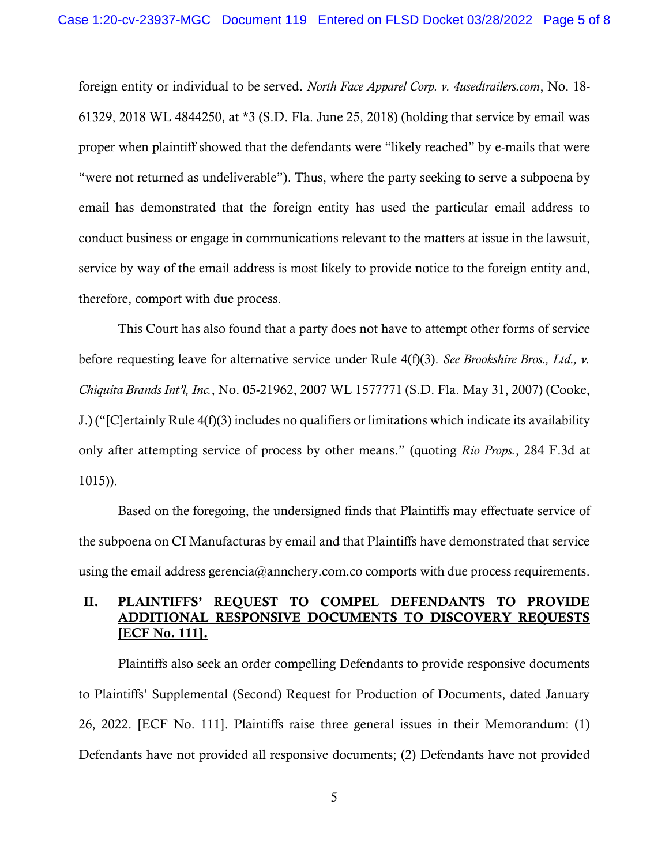foreign entity or individual to be served. *North Face Apparel Corp. v. 4usedtrailers.com*, No. 18- 61329, 2018 WL 4844250, at \*3 (S.D. Fla. June 25, 2018) (holding that service by email was proper when plaintiff showed that the defendants were "likely reached" by e-mails that were "were not returned as undeliverable"). Thus, where the party seeking to serve a subpoena by email has demonstrated that the foreign entity has used the particular email address to conduct business or engage in communications relevant to the matters at issue in the lawsuit, service by way of the email address is most likely to provide notice to the foreign entity and, therefore, comport with due process.

This Court has also found that a party does not have to attempt other forms of service before requesting leave for alternative service under Rule 4(f)(3). *See Brookshire Bros., Ltd., v. Chiquita Brands Int'l, Inc.*, No. 05-21962, 2007 WL 1577771 (S.D. Fla. May 31, 2007) (Cooke, J.) ("[C]ertainly Rule 4(f)(3) includes no qualifiers or limitations which indicate its availability only after attempting service of process by other means." (quoting *Rio Props.*, 284 F.3d at 1015)).

Based on the foregoing, the undersigned finds that Plaintiffs may effectuate service of the subpoena on CI Manufacturas by email and that Plaintiffs have demonstrated that service using the email address gerencia@annchery.com.co comports with due process requirements.

# II. PLAINTIFFS' REQUEST TO COMPEL DEFENDANTS TO PROVIDE ADDITIONAL RESPONSIVE DOCUMENTS TO DISCOVERY REQUESTS [ECF No. 111].

Plaintiffs also seek an order compelling Defendants to provide responsive documents to Plaintiffs' Supplemental (Second) Request for Production of Documents, dated January 26, 2022. [ECF No. 111]. Plaintiffs raise three general issues in their Memorandum: (1) Defendants have not provided all responsive documents; (2) Defendants have not provided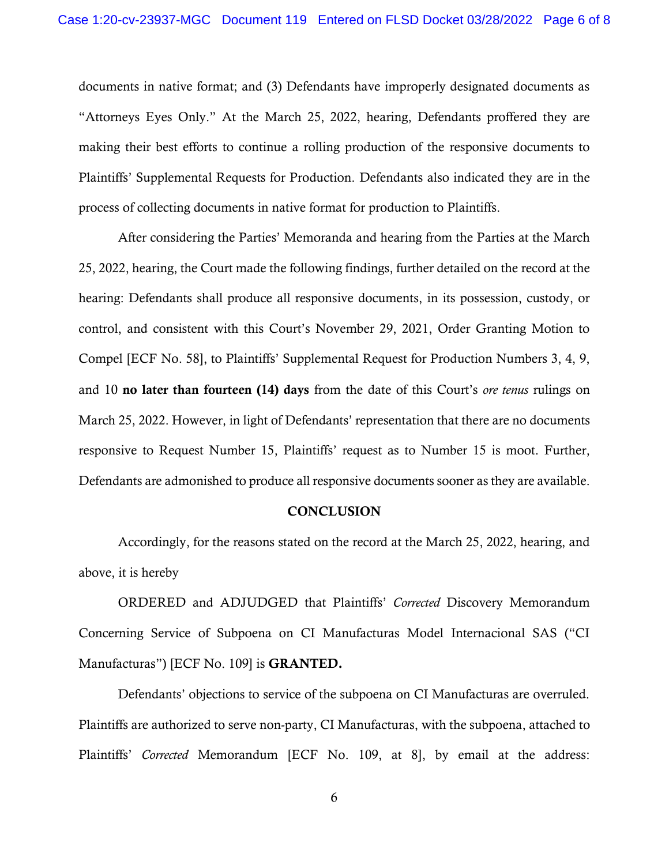documents in native format; and (3) Defendants have improperly designated documents as "Attorneys Eyes Only." At the March 25, 2022, hearing, Defendants proffered they are making their best efforts to continue a rolling production of the responsive documents to Plaintiffs' Supplemental Requests for Production. Defendants also indicated they are in the process of collecting documents in native format for production to Plaintiffs.

After considering the Parties' Memoranda and hearing from the Parties at the March 25, 2022, hearing, the Court made the following findings, further detailed on the record at the hearing: Defendants shall produce all responsive documents, in its possession, custody, or control, and consistent with this Court's November 29, 2021, Order Granting Motion to Compel [ECF No. 58], to Plaintiffs' Supplemental Request for Production Numbers 3, 4, 9, and 10 no later than fourteen (14) days from the date of this Court's *ore tenus* rulings on March 25, 2022. However, in light of Defendants' representation that there are no documents responsive to Request Number 15, Plaintiffs' request as to Number 15 is moot. Further, Defendants are admonished to produce all responsive documents sooner as they are available.

### **CONCLUSION**

Accordingly, for the reasons stated on the record at the March 25, 2022, hearing, and above, it is hereby

ORDERED and ADJUDGED that Plaintiffs' *Corrected* Discovery Memorandum Concerning Service of Subpoena on CI Manufacturas Model Internacional SAS ("CI Manufacturas") [ECF No. 109] is GRANTED.

Defendants' objections to service of the subpoena on CI Manufacturas are overruled. Plaintiffs are authorized to serve non-party, CI Manufacturas, with the subpoena, attached to Plaintiffs' *Corrected* Memorandum [ECF No. 109, at 8], by email at the address:

6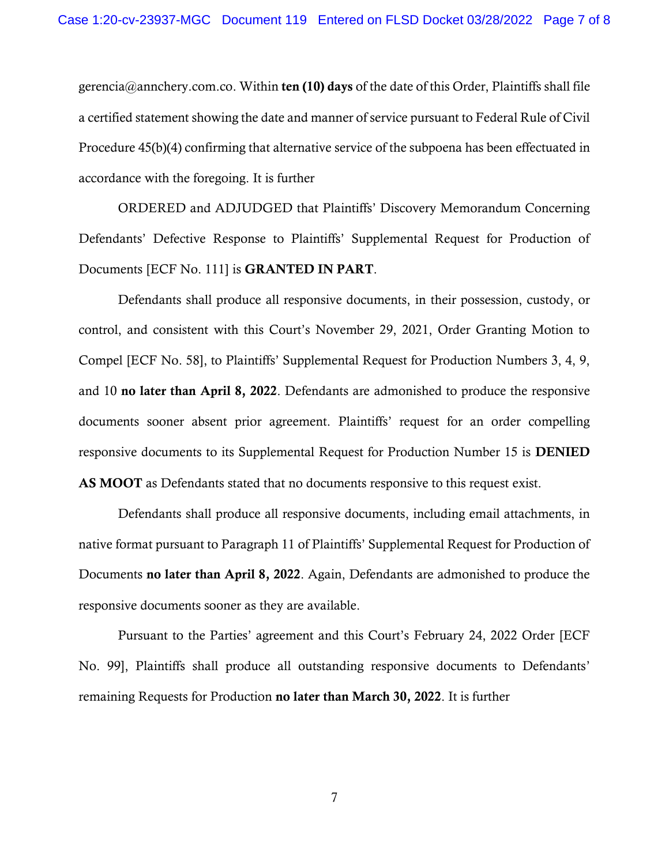gerencia@annchery.com.co. Within ten (10) days of the date of this Order, Plaintiffs shall file a certified statement showing the date and manner of service pursuant to Federal Rule of Civil Procedure 45(b)(4) confirming that alternative service of the subpoena has been effectuated in accordance with the foregoing. It is further

ORDERED and ADJUDGED that Plaintiffs' Discovery Memorandum Concerning Defendants' Defective Response to Plaintiffs' Supplemental Request for Production of Documents [ECF No. 111] is GRANTED IN PART.

Defendants shall produce all responsive documents, in their possession, custody, or control, and consistent with this Court's November 29, 2021, Order Granting Motion to Compel [ECF No. 58], to Plaintiffs' Supplemental Request for Production Numbers 3, 4, 9, and 10 no later than April 8, 2022. Defendants are admonished to produce the responsive documents sooner absent prior agreement. Plaintiffs' request for an order compelling responsive documents to its Supplemental Request for Production Number 15 is DENIED AS MOOT as Defendants stated that no documents responsive to this request exist.

Defendants shall produce all responsive documents, including email attachments, in native format pursuant to Paragraph 11 of Plaintiffs' Supplemental Request for Production of Documents **no later than April 8, 2022**. Again, Defendants are admonished to produce the responsive documents sooner as they are available.

Pursuant to the Parties' agreement and this Court's February 24, 2022 Order [ECF No. 99], Plaintiffs shall produce all outstanding responsive documents to Defendants' remaining Requests for Production no later than March 30, 2022. It is further

7